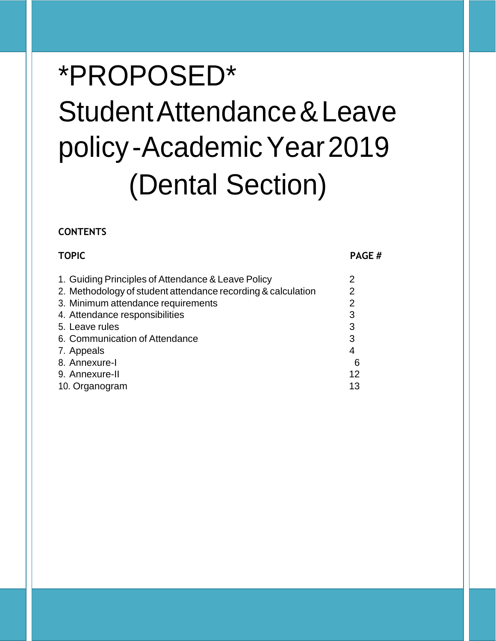# \*PROPOSED\* StudentAttendance&Leave policy-Academic Year 2019 (Dental Section)

#### **CONTENTS**

| <b>TOPIC</b>                                                 | <b>PAGE#</b> |
|--------------------------------------------------------------|--------------|
| 1. Guiding Principles of Attendance & Leave Policy           | 2            |
| 2. Methodology of student attendance recording & calculation | 2            |
| 3. Minimum attendance requirements                           | 2            |
| 4. Attendance responsibilities                               | 3            |
| 5. Leave rules                                               | 3            |
| 6. Communication of Attendance                               | 3            |
| 7. Appeals                                                   | 4            |
| 8. Annexure-I                                                | 6            |
| 9. Annexure-II                                               | 12           |
| 10. Organogram                                               | 13           |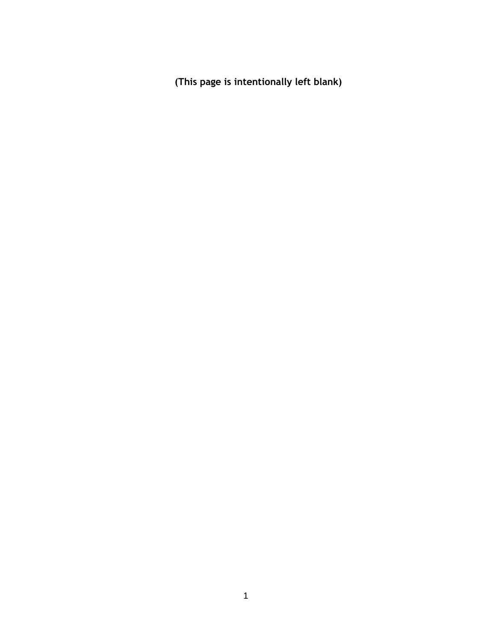**(This page is intentionally left blank)**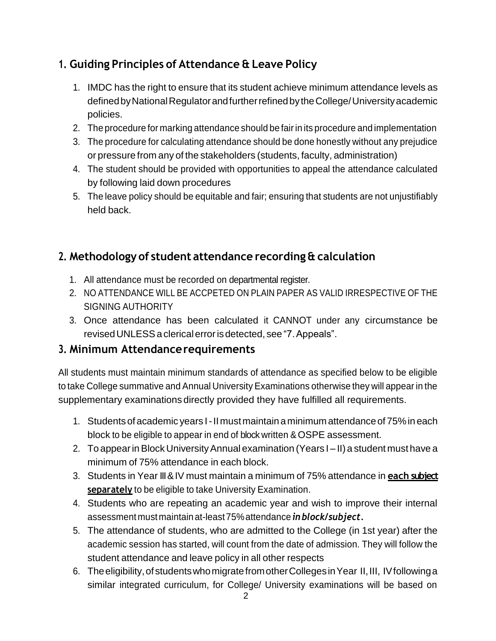## <span id="page-2-0"></span>**1. Guiding Principles of Attendance & Leave Policy**

- 1. IMDC has the right to ensure that its student achieve minimum attendance levels as defined by National Regulator and further refined by the College/University academic policies.
- 2. The procedure for marking attendance should be fairin its procedure and implementation
- 3. The procedure for calculating attendance should be done honestly without any prejudice or pressure from any of the stakeholders (students, faculty, administration)
- 4. The student should be provided with opportunities to appeal the attendance calculated by following laid down procedures
- 5. The leave policy should be equitable and fair; ensuring that students are not unjustifiably held back.

## <span id="page-2-1"></span>**2. Methodology of student attendance recording & calculation**

- 1. All attendance must be recorded on departmental register.
- 2. NO ATTENDANCE WILL BE ACCPETED ON PLAIN PAPER AS VALID IRRESPECTIVE OF THE SIGNING AUTHORITY
- 3. Once attendance has been calculated it CANNOT under any circumstance be revisedUNLESSaclericalerrorisdetected, see "7.Appeals".

#### <span id="page-2-2"></span>**3. Minimum Attendancerequirements**

All students must maintain minimum standards of attendance as specified below to be eligible to take College summative and Annual University Examinations otherwise they will appear in the supplementary examinations directly provided they have fulfilled all requirements.

- 1. Students of academic years I II must maintain a minimum attendance of 75% in each block to be eligible to appear in end of block written & OSPE assessment.
- 2. To appear in Block University Annual examination (Years I II) a student must have a minimum of 75% attendance in each block.
- 3. Students in Year III & IV must maintain a minimum of 75% attendance in **each subject separately** to be eligible to take University Examination.
- 4. Students who are repeating an academic year and wish to improve their internal assessment mustmaintainat-least75%attendance*inblock/subject.*
- 5. The attendance of students, who are admitted to the College (in 1st year) after the academic session has started, will count from the date of admission. They will follow the student attendance and leave policy in all other respects
- 6. Theeligibility,ofstudentswhomigratefromotherCollegesinYear II,III, IVfollowinga similar integrated curriculum, for College/ University examinations will be based on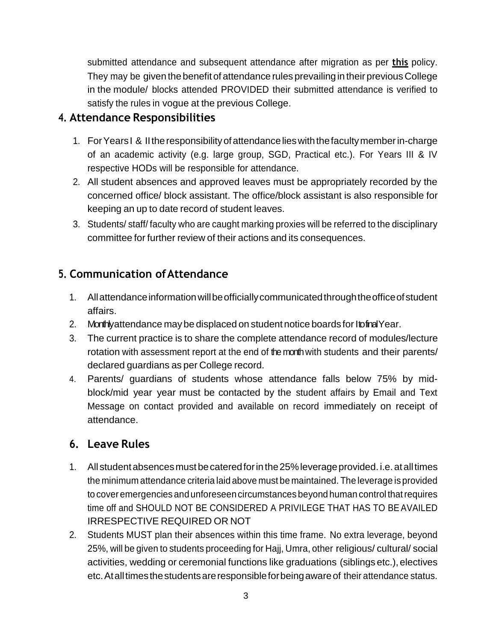submitted attendance and subsequent attendance after migration as per **this** policy. They may be given the benefit of attendance rules prevailing in their previous College in the module/ blocks attended PROVIDED their submitted attendance is verified to satisfy the rules in vogue at the previous College.

#### <span id="page-3-0"></span>**4. Attendance Responsibilities**

- 1. ForYearsI & IItheresponsibilityofattendancelieswiththefacultymemberin-charge of an academic activity (e.g. large group, SGD, Practical etc.). For Years III & IV respective HODs will be responsible for attendance.
- 2. All student absences and approved leaves must be appropriately recorded by the concerned office/ block assistant. The office/block assistant is also responsible for keeping an up to date record of student leaves.
- 3. Students/ staff/ faculty who are caught marking proxies will be referred to the disciplinary committee for further review of their actions and its consequences.

### **5. Communication ofAttendance**

- 1. All attendance information will be officially communicated through the office of student affairs.
- 2. Monthlyattendance may be displaced on student notice boards for Ito final Year.
- 3. The current practice is to share the complete attendance record of modules/lecture rotation with assessment report at the end of the month with students and their parents/ declared guardians as per College record.
- 4. Parents/ guardians of students whose attendance falls below 75% by midblock/mid year year must be contacted by the student affairs by Email and Text Message on contact provided and available on record immediately on receipt of attendance.

### **6. Leave Rules**

- 1. All student absences must be catered for in the 25% leverage provided. i.e. at all times the minimum attendance criteria laid above must be maintained. The leverage is provided to cover emergencies and unforeseen circumstances beyond human control that requires time off and SHOULD NOT BE CONSIDERED A PRIVILEGE THAT HAS TO BE AVAILED IRRESPECTIVE REQUIRED OR NOT
- 2. Students MUST plan their absences within this time frame. No extra leverage, beyond 25%, will be given to students proceeding for Hajj, Umra, other religious/ cultural/ social activities, wedding or ceremonial functions like graduations (siblings etc.), electives etc.Atalltimesthestudentsareresponsibleforbeingawareof their attendance status.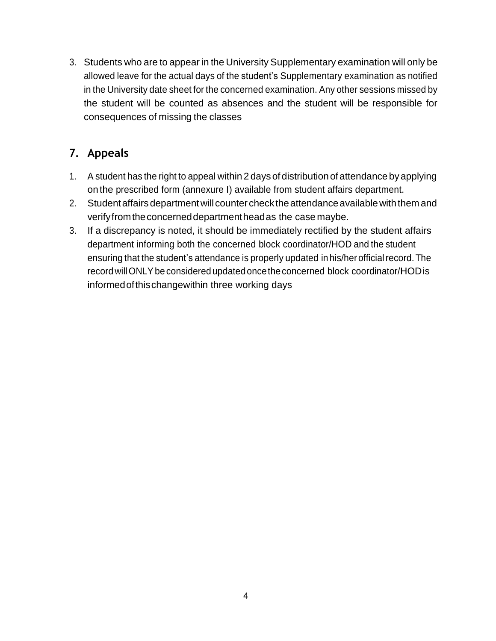3. Students who are to appear in the University Supplementary examination will only be allowed leave for the actual days of the student's Supplementary examination as notified in the University date sheet for the concerned examination. Any other sessions missed by the student will be counted as absences and the student will be responsible for consequences of missing the classes

## <span id="page-4-0"></span>**7. Appeals**

- 1. A student has the right to appeal within 2 days of distributionof attendance byapplying on the prescribed form (annexure I) available from student affairs department.
- 2. Student affairs department will counter check the attendance available with them and verifyfromtheconcerneddepartmentheadas the case maybe.
- 3. If a discrepancy is noted, it should be immediately rectified by the student affairs department informing both the concerned block coordinator/HOD and the student ensuring that the student's attendance is properly updated in his/her official record. The record will ONLY be considered updated once the concerned block coordinator/HOD is informedofthischangewithin three working days